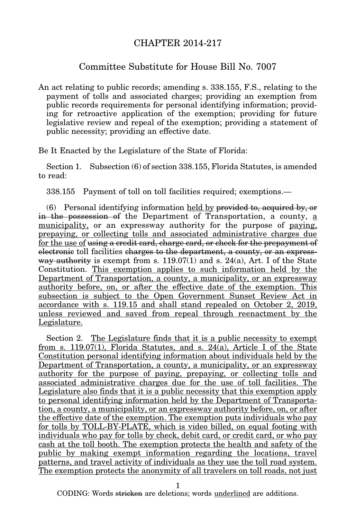## CHAPTER 2014-217

## Committee Substitute for House Bill No. 7007

An act relating to public records; amending s. 338.155, F.S., relating to the payment of tolls and associated charges; providing an exemption from public records requirements for personal identifying information; providing for retroactive application of the exemption; providing for future legislative review and repeal of the exemption; providing a statement of public necessity; providing an effective date.

Be It Enacted by the Legislature of the State of Florida:

Section 1. Subsection (6) of section 338.155, Florida Statutes, is amended to read:

338.155 Payment of toll on toll facilities required; exemptions.—

(6) Personal identifying information held by provided to, acquired by, or in the possession of the Department of Transportation, a county, a municipality, or an expressway authority for the purpose of paying, prepaying, or collecting tolls and associated administrative charges due for the use of using a credit card, charge card, or check for the prepayment of electronic toll facilities charges to the department, a county, or an expressway authority is exempt from s.  $119.07(1)$  and s.  $24(a)$ , Art. I of the State Constitution. This exemption applies to such information held by the Department of Transportation, a county, a municipality, or an expressway authority before, on, or after the effective date of the exemption. This subsection is subject to the Open Government Sunset Review Act in accordance with s. 119.15 and shall stand repealed on October 2, 2019, unless reviewed and saved from repeal through reenactment by the Legislature.

Section 2. The Legislature finds that it is a public necessity to exempt from s. 119.07(1), Florida Statutes, and s. 24(a), Article I of the State Constitution personal identifying information about individuals held by the Department of Transportation, a county, a municipality, or an expressway authority for the purpose of paying, prepaying, or collecting tolls and associated administrative charges due for the use of toll facilities. The Legislature also finds that it is a public necessity that this exemption apply to personal identifying information held by the Department of Transportation, a county, a municipality, or an expressway authority before, on, or after the effective date of the exemption. The exemption puts individuals who pay for tolls by TOLL-BY-PLATE, which is video billed, on equal footing with individuals who pay for tolls by check, debit card, or credit card, or who pay cash at the toll booth. The exemption protects the health and safety of the public by making exempt information regarding the locations, travel patterns, and travel activity of individuals as they use the toll road system. The exemption protects the anonymity of all travelers on toll roads, not just

1

CODING: Words stricken are deletions; words underlined are additions.